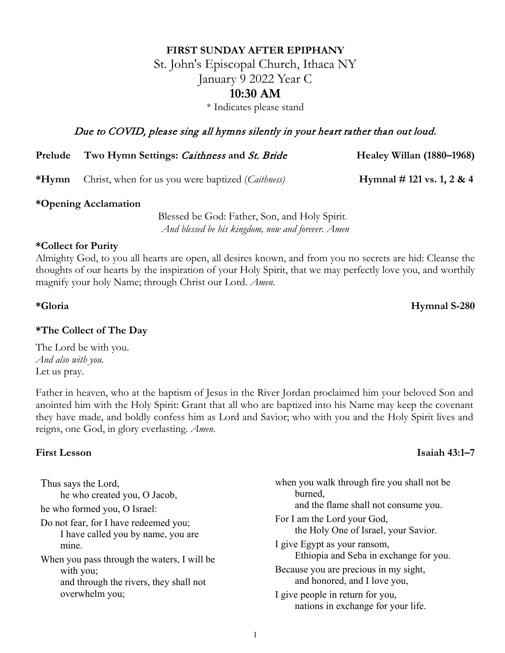## **FIRST SUNDAY AFTER EPIPHANY**

St. John's Episcopal Church, Ithaca NY

January 9 2022 Year C

# **10:30 AM**

\* Indicates please stand

Due to COVID, please sing all hymns silently in your heart rather than out loud.

**Prelude** Two Hymn Settings: *Caithness* and *St. Bride* **Healey Willan (1880–1968)** 

**\*Hymn** Christ, when for us you were baptized (*Caithness)* **Hymnal # 121 vs. 1, 2 & 4**

## **\*Opening Acclamation**

Blessed be God: Father, Son, and Holy Spirit. *And blessed be his kingdom, now and forever. Amen*

#### **\*Collect for Purity**

Almighty God, to you all hearts are open, all desires known, and from you no secrets are hid: Cleanse the thoughts of our hearts by the inspiration of your Holy Spirit, that we may perfectly love you, and worthily magnify your holy Name; through Christ our Lord. *Amen.*

## **\*Gloria Hymnal S-280**

## **\*The Collect of The Day**

The Lord be with you. *And also with you.* Let us pray.

Father in heaven, who at the baptism of Jesus in the River Jordan proclaimed him your beloved Son and anointed him with the Holy Spirit: Grant that all who are baptized into his Name may keep the covenant they have made, and boldly confess him as Lord and Savior; who with you and the Holy Spirit lives and reigns, one God, in glory everlasting. *Amen*.

## **First Lesson Isaiah 43:1–7**

| Thus says the Lord,                                                                                                           | when you walk through fire you shall not be                                                                                                   |  |  |
|-------------------------------------------------------------------------------------------------------------------------------|-----------------------------------------------------------------------------------------------------------------------------------------------|--|--|
| he who created you, O Jacob,                                                                                                  | burned,<br>and the flame shall not consume you.                                                                                               |  |  |
| he who formed you, O Israel:                                                                                                  |                                                                                                                                               |  |  |
| Do not fear, for I have redeemed you;<br>I have called you by name, you are                                                   | For I am the Lord your God,<br>the Holy One of Israel, your Savior.<br>I give Egypt as your ransom,<br>Ethiopia and Seba in exchange for you. |  |  |
| mine.<br>When you pass through the waters, I will be<br>with you;<br>and through the rivers, they shall not<br>overwhelm you; |                                                                                                                                               |  |  |
|                                                                                                                               | Because you are precious in my sight,<br>and honored, and I love you,                                                                         |  |  |
|                                                                                                                               | I give people in return for you,<br>nations in exchange for your life.                                                                        |  |  |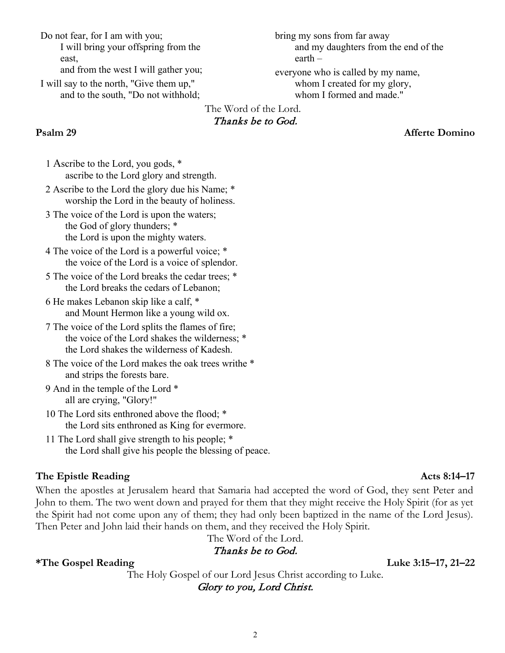Do not fear, for I am with you; I will bring your offspring from the east,

and from the west I will gather you;

I will say to the north, "Give them up," and to the south, "Do not withhold; bring my sons from far away and my daughters from the end of the earth – everyone who is called by my name, whom I created for my glory,

whom I formed and made."

#### The Word of the Lord. Thanks be to God.

# **Psalm 29** Afferte Domino

1 Ascribe to the Lord, you gods, \* ascribe to the Lord glory and strength.

2 Ascribe to the Lord the glory due his Name; \* worship the Lord in the beauty of holiness.

- 3 The voice of the Lord is upon the waters; the God of glory thunders; \* the Lord is upon the mighty waters.
- 4 The voice of the Lord is a powerful voice; \* the voice of the Lord is a voice of splendor.
- 5 The voice of the Lord breaks the cedar trees; \* the Lord breaks the cedars of Lebanon;
- 6 He makes Lebanon skip like a calf, \* and Mount Hermon like a young wild ox.
- 7 The voice of the Lord splits the flames of fire; the voice of the Lord shakes the wilderness; \* the Lord shakes the wilderness of Kadesh.
- 8 The voice of the Lord makes the oak trees writhe \* and strips the forests bare.
- 9 And in the temple of the Lord \* all are crying, "Glory!"
- 10 The Lord sits enthroned above the flood; \* the Lord sits enthroned as King for evermore.
- 11 The Lord shall give strength to his people; \* the Lord shall give his people the blessing of peace.

# **The Epistle Reading Acts 8:14–17**

When the apostles at Jerusalem heard that Samaria had accepted the word of God, they sent Peter and John to them. The two went down and prayed for them that they might receive the Holy Spirit (for as yet the Spirit had not come upon any of them; they had only been baptized in the name of the Lord Jesus). Then Peter and John laid their hands on them, and they received the Holy Spirit.

The Word of the Lord.

# Thanks be to God.

# **\*The Gospel Reading Luke 3:15–17, 21–22**

The Holy Gospel of our Lord Jesus Christ according to Luke.

Glory to you, Lord Christ.

#### 2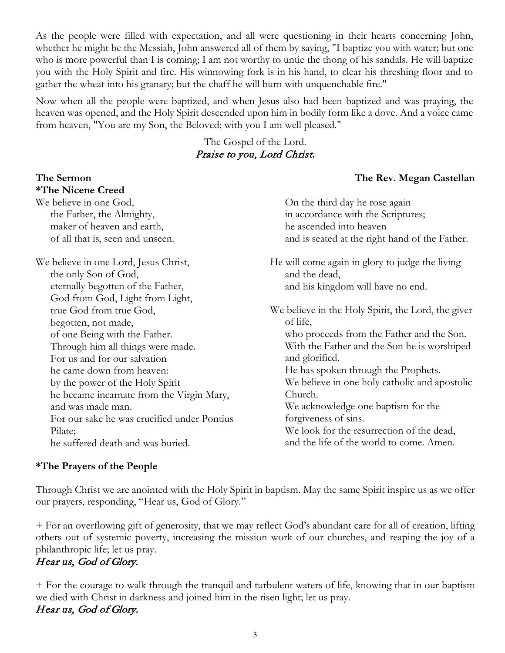As the people were filled with expectation, and all were questioning in their hearts concerning John, whether he might be the Messiah, John answered all of them by saying, "I baptize you with water; but one who is more powerful than I is coming; I am not worthy to untie the thong of his sandals. He will baptize you with the Holy Spirit and fire. His winnowing fork is in his hand, to clear his threshing floor and to gather the wheat into his granary; but the chaff he will burn with unquenchable fire."

Now when all the people were baptized, and when Jesus also had been baptized and was praying, the heaven was opened, and the Holy Spirit descended upon him in bodily form like a dove. And a voice came from heaven, "You are my Son, the Beloved; with you I am well pleased."

# The Gospel of the Lord. Praise to you, Lord Christ.

# **The Sermon The Rev. Megan Castellan**

| <i><b>*The Nicene Creed</b></i>             |
|---------------------------------------------|
| We believe in one God,                      |
| the Father, the Almighty,                   |
| maker of heaven and earth,                  |
| of all that is, seen and unseen.            |
| We believe in one Lord, Jesus Christ,       |
| the only Son of God,                        |
| eternally begotten of the Father,           |
| God from God, Light from Light,             |
| true God from true God,                     |
| begotten, not made,                         |
| of one Being with the Father.               |
| Through him all things were made.           |
| For us and for our salvation                |
| he came down from heaven:                   |
| by the power of the Holy Spirit             |
| he became incarnate from the Virgin Mary,   |
| and was made man.                           |
| For our sake he was crucified under Pontius |
| Pilate;                                     |
| he suffered death and was buried.           |

On the third day he rose again in accordance with the Scriptures; he ascended into heaven and is seated at the right hand of the Father. He will come again in glory to judge the living and the dead, and his kingdom will have no end. We believe in the Holy Spirit, the Lord, the giver of life, who proceeds from the Father and the Son. With the Father and the Son he is worshiped and glorified. He has spoken through the Prophets. We believe in one holy catholic and apostolic Church. We acknowledge one baptism for the forgiveness of sins. We look for the resurrection of the dead, and the life of the world to come. Amen.

# **\*The Prayers of the People**

Through Christ we are anointed with the Holy Spirit in baptism. May the same Spirit inspire us as we offer our prayers, responding, "Hear us, God of Glory."

+ For an overflowing gift of generosity, that we may reflect God's abundant care for all of creation, lifting others out of systemic poverty, increasing the mission work of our churches, and reaping the joy of a philanthropic life; let us pray.

# Hear us, God of Glory.

+ For the courage to walk through the tranquil and turbulent waters of life, knowing that in our baptism we died with Christ in darkness and joined him in the risen light; let us pray. Hear us, God of Glory.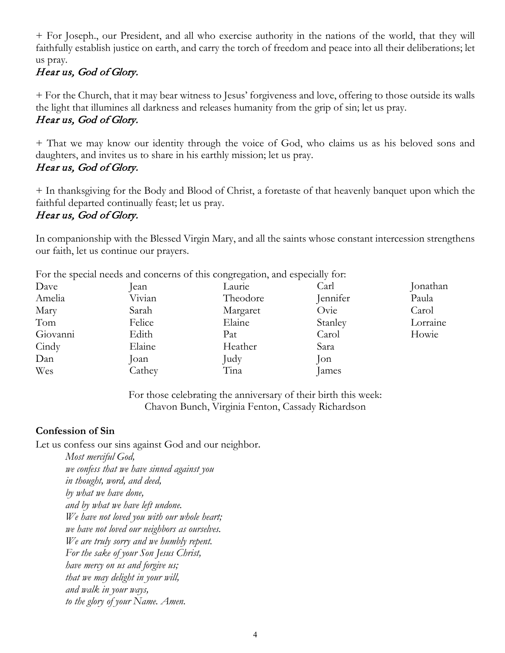+ For Joseph., our President, and all who exercise authority in the nations of the world, that they will faithfully establish justice on earth, and carry the torch of freedom and peace into all their deliberations; let us pray.

# Hear us, God of Glory.

+ For the Church, that it may bear witness to Jesus' forgiveness and love, offering to those outside its walls the light that illumines all darkness and releases humanity from the grip of sin; let us pray.

# Hear us, God of Glory.

+ That we may know our identity through the voice of God, who claims us as his beloved sons and daughters, and invites us to share in his earthly mission; let us pray.

# Hear us, God of Glory.

+ In thanksgiving for the Body and Blood of Christ, a foretaste of that heavenly banquet upon which the faithful departed continually feast; let us pray.

# Hear us, God of Glory.

In companionship with the Blessed Virgin Mary, and all the saints whose constant intercession strengthens our faith, let us continue our prayers.

| ean        | Laurie   | Carl     | Jonathan                                                                     |
|------------|----------|----------|------------------------------------------------------------------------------|
| Vivian     | Theodore | Jennifer | Paula                                                                        |
| Sarah      | Margaret | Ovie     | Carol                                                                        |
| Felice     | Elaine   | Stanley  | Lorraine                                                                     |
| Edith      | Pat      | Carol    | Howie                                                                        |
| Elaine     | Heather  | Sara     |                                                                              |
| $\alpha$ n | Judy     | on       |                                                                              |
| Cathey     | Tina     | James    |                                                                              |
|            |          |          | For the special needs and concerns of this congregation, and especially for: |

For the special needs and concerns of this congregation, and especially  $f$ .

For those celebrating the anniversary of their birth this week: Chavon Bunch, Virginia Fenton, Cassady Richardson

# **Confession of Sin**

Let us confess our sins against God and our neighbor.

*Most merciful God, we confess that we have sinned against you in thought, word, and deed, by what we have done, and by what we have left undone. We have not loved you with our whole heart; we have not loved our neighbors as ourselves. We are truly sorry and we humbly repent. For the sake of your Son Jesus Christ, have mercy on us and forgive us; that we may delight in your will, and walk in your ways, to the glory of your Name. Amen.*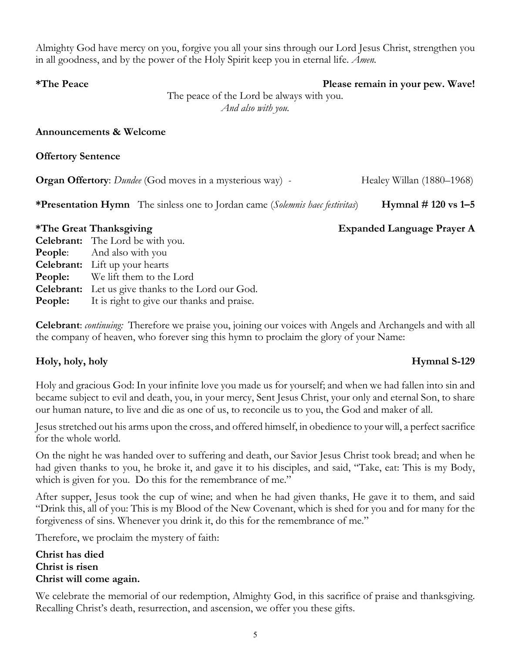The peace of the Lord be always with you. *And also with you.*

Almighty God have mercy on you, forgive you all your sins through our Lord Jesus Christ, strengthen you

in all goodness, and by the power of the Holy Spirit keep you in eternal life. *Amen.*

#### **Announcements & Welcome**

#### **Offertory Sentence**

| <b>Organ Offertory</b> : <i>Dundee</i> (God moves in a mysterious way) - | Healey Willan (1880–1968) |
|--------------------------------------------------------------------------|---------------------------|
|                                                                          |                           |

**\*Presentation Hymn** The sinless one to Jordan came (*Solemnis haec festivitas*) **Hymnal # 120 vs 1–5**

#### **\*The Great Thanksgiving Expanded Language Prayer A**

**Celebrant:** The Lord be with you.

- **People:** And also with you
- **Celebrant:** Lift up your hearts
- **People:** We lift them to the Lord
- **Celebrant:** Let us give thanks to the Lord our God.
- **People:** It is right to give our thanks and praise.

**Celebrant**: *continuing:* Therefore we praise you, joining our voices with Angels and Archangels and with all the company of heaven, who forever sing this hymn to proclaim the glory of your Name:

## **Holy, holy, holy Hymnal S-129**

Holy and gracious God: In your infinite love you made us for yourself; and when we had fallen into sin and became subject to evil and death, you, in your mercy, Sent Jesus Christ, your only and eternal Son, to share our human nature, to live and die as one of us, to reconcile us to you, the God and maker of all.

Jesus stretched out his arms upon the cross, and offered himself, in obedience to your will, a perfect sacrifice for the whole world.

On the night he was handed over to suffering and death, our Savior Jesus Christ took bread; and when he had given thanks to you, he broke it, and gave it to his disciples, and said, "Take, eat: This is my Body, which is given for you. Do this for the remembrance of me."

After supper, Jesus took the cup of wine; and when he had given thanks, He gave it to them, and said "Drink this, all of you: This is my Blood of the New Covenant, which is shed for you and for many for the forgiveness of sins. Whenever you drink it, do this for the remembrance of me."

Therefore, we proclaim the mystery of faith:

## **Christ has died Christ is risen Christ will come again.**

We celebrate the memorial of our redemption, Almighty God, in this sacrifice of praise and thanksgiving. Recalling Christ's death, resurrection, and ascension, we offer you these gifts.

**\*The Peace Please remain in your pew. Wave!**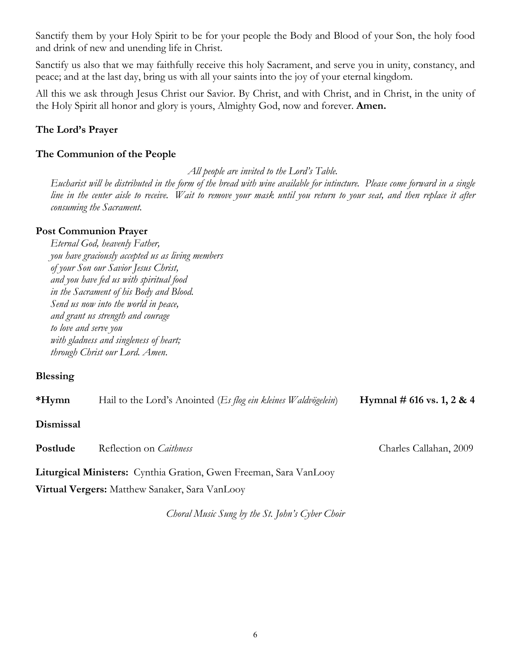Sanctify them by your Holy Spirit to be for your people the Body and Blood of your Son, the holy food and drink of new and unending life in Christ.

Sanctify us also that we may faithfully receive this holy Sacrament, and serve you in unity, constancy, and peace; and at the last day, bring us with all your saints into the joy of your eternal kingdom.

All this we ask through Jesus Christ our Savior. By Christ, and with Christ, and in Christ, in the unity of the Holy Spirit all honor and glory is yours, Almighty God, now and forever. **Amen.**

# **The Lord's Prayer**

# **The Communion of the People**

*All people are invited to the Lord's Table.*

*Eucharist will be distributed in the form of the bread with wine available for intincture. Please come forward in a single line in the center aisle to receive. Wait to remove your mask until you return to your seat, and then replace it after consuming the Sacrament.* 

## **Post Communion Prayer**

*Eternal God, heavenly Father, you have graciously accepted us as living members of your Son our Savior Jesus Christ, and you have fed us with spiritual food in the Sacrament of his Body and Blood. Send us now into the world in peace, and grant us strength and courage to love and serve you with gladness and singleness of heart; through Christ our Lord. Amen*.

# **Blessing**

**\*Hymn** Hail to the Lord's Anointed (*Es flog ein kleines Waldvögelein*) **Hymnal # 616 vs. 1, 2 & 4 Dismissal** Postlude Reflection on *Caithness* Charles Callahan, 2009 **Liturgical Ministers:** Cynthia Gration, Gwen Freeman, Sara VanLooy

**Virtual Vergers:** Matthew Sanaker, Sara VanLooy

*Choral Music Sung by the St. John's Cyber Choir*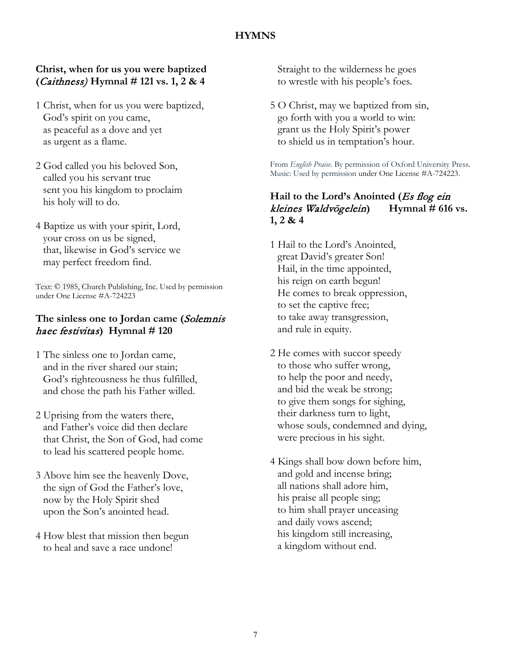# **HYMNS**

## **Christ, when for us you were baptized (**Caithness) **Hymnal # 121 vs. 1, 2 & 4**

- 1 Christ, when for us you were baptized, God's spirit on you came, as peaceful as a dove and yet as urgent as a flame.
- 2 God called you his beloved Son, called you his servant true sent you his kingdom to proclaim his holy will to do.
- 4 Baptize us with your spirit, Lord, your cross on us be signed, that, likewise in God's service we may perfect freedom find.

Text: © 1985, Church Publishing, Inc. Used by permission under One License #A-724223

# **The sinless one to Jordan came (**Solemnis haec festivitas**) Hymnal # 120**

- 1 The sinless one to Jordan came, and in the river shared our stain; God's righteousness he thus fulfilled, and chose the path his Father willed.
- 2 Uprising from the waters there, and Father's voice did then declare that Christ, the Son of God, had come to lead his scattered people home.
- 3 Above him see the heavenly Dove, the sign of God the Father's love, now by the Holy Spirit shed upon the Son's anointed head.
- 4 How blest that mission then begun to heal and save a race undone!

Straight to the wilderness he goes to wrestle with his people's foes.

5 O Christ, may we baptized from sin, go forth with you a world to win: grant us the Holy Spirit's power to shield us in temptation's hour.

From *English Praise.* By permission of Oxford University Press. Music: Used by permission under One License #A-724223.

## **Hail to the Lord's Anointed (**Es flog ein kleines Waldvögelein**) Hymnal # 616 vs. 1, 2 & 4**

1 Hail to the Lord's Anointed, great David's greater Son! Hail, in the time appointed, his reign on earth begun! He comes to break oppression, to set the captive free; to take away transgression, and rule in equity.

- 2 He comes with succor speedy to those who suffer wrong, to help the poor and needy, and bid the weak be strong; to give them songs for sighing, their darkness turn to light, whose souls, condemned and dying, were precious in his sight.
- 4 Kings shall bow down before him, and gold and incense bring; all nations shall adore him, his praise all people sing; to him shall prayer unceasing and daily vows ascend; his kingdom still increasing, a kingdom without end.